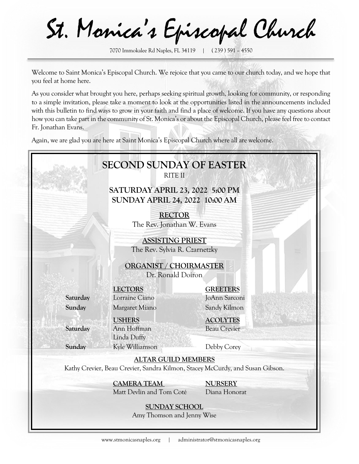St. Monica's Episcopal Church

Welcome to Saint Monica's Episcopal Church. We rejoice that you came to our church today, and we hope that you feel at home here.

As you consider what brought you here, perhaps seeking spiritual growth, looking for community, or responding to a simple invitation, please take a moment to look at the opportunities listed in the announcements included with this bulletin to find ways to grow in your faith and find a place of welcome. If you have any questions about how you can take part in the community of St. Monica's or about the Episcopal Church, please feel free to contact Fr. Jonathan Evans.

Again, we are glad you are here at Saint Monica's Episcopal Church where all are welcome.



<sup>7070</sup> Immokalee Rd Naples, FL 34119 | ( 239 ) 591 – 4550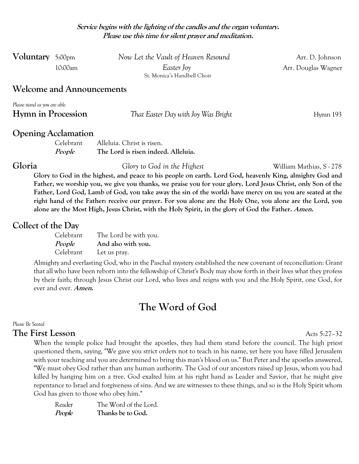| <b>Voluntary</b> 5:00pm |         | Now Let the Vault of Heaven Resound | Arr. D. Johnson     |
|-------------------------|---------|-------------------------------------|---------------------|
|                         | 10:00am | Easter Joy                          | Arr. Douglas Wagner |
|                         |         | St. Monica's Handbell Choir         |                     |

# **Welcome and Announcements**

| These summers you are able |                                     |          |
|----------------------------|-------------------------------------|----------|
| <b>Hymn in Procession</b>  | That Easter Day with Joy Was Bright | Hymn 193 |

## **Opening Acclamation**

*Please stand as you are able*

| Celebrant | Alleluia. Christ is risen.          |
|-----------|-------------------------------------|
| People    | The Lord is risen indeed. Alleluia. |

**Gloria Glory to God in the Highest** William Mathias, S - 278

**Glory to God in the highest, and peace to his people on earth. Lord God, heavenly King, almighty God and Father, we worship you, we give you thanks, we praise you for your glory. Lord Jesus Christ, only Son of the Father, Lord God, Lamb of God, you take away the sin of the world: have mercy on us; you are seated at the right hand of the Father: receive our prayer. For you alone are the Holy One, you alone are the Lord, you alone are the Most High, Jesus Christ, with the Holy Spirit, in the glory of God the Father. Amen.**

## **Collect of the Day**

| Celebrant     | The Lord be with you. |
|---------------|-----------------------|
| <i>People</i> | And also with you.    |
| Celebrant     | Let us pray.          |

Almighty and everlasting God, who in the Paschal mystery established the new covenant of reconciliation: Grant that all who have been reborn into the fellowship of Christ's Body may show forth in their lives what they profess by their faith; through Jesus Christ our Lord, who lives and reigns with you and the Holy Spirit, one God, for ever and ever. **Amen.**

# **The Word of God**

#### *Please Be Seated*

## **The First Lesson** *Acts* 5:27–32

When the temple police had brought the apostles, they had them stand before the council. The high priest questioned them, saying, "We gave you strict orders not to teach in his name, yet here you have filled Jerusalem with your teaching and you are determined to bring this man's blood on us." But Peter and the apostles answered, "We must obey God rather than any human authority. The God of our ancestors raised up Jesus, whom you had killed by hanging him on a tree. God exalted him at his right hand as Leader and Savior, that he might give repentance to Israel and forgiveness of sins. And we are witnesses to these things, and so is the Holy Spirit whom God has given to those who obey him."

| Reader | The Word of the Lord. |
|--------|-----------------------|
| People | Thanks be to God.     |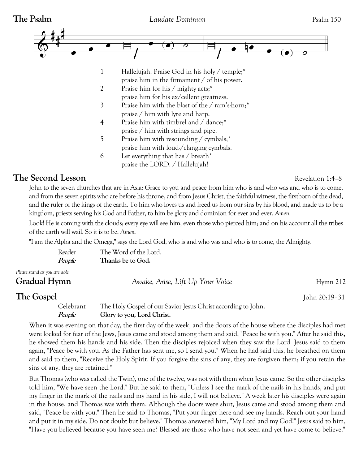

# **The** Second Lesson **Revelation 1:4–8**

John to the seven churches that are in Asia: Grace to you and peace from him who is and who was and who is to come, and from the seven spirits who are before his throne, and from Jesus Christ, the faithful witness, the firstborn of the dead, and the ruler of the kings of the earth. To him who loves us and freed us from our sins by his blood, and made us to be a kingdom, priests serving his God and Father, to him be glory and dominion for ever and ever. *Amen.*

Look! He is coming with the clouds; every eye will see him, even those who pierced him; and on his account all the tribes of the earth will wail. So it is to be. *Amen.*

"I am the Alpha and the Omega," says the Lord God, who is and who was and who is to come, the Almighty.

| Reader | The Word of the Lord. |
|--------|-----------------------|
| People | Thanks be to God.     |

| Please stand as you are able |                                  |                        |
|------------------------------|----------------------------------|------------------------|
| <b>Gradual Hymn</b>          | Awake, Arise, Lift Up Your Voice | $H$ <sub>ymn</sub> 212 |

# **The Gospel** John 20:19–31

Celebrant The Holy Gospel of our Savior Jesus Christ according to John. **People Glory to you, Lord Christ.** 

When it was evening on that day, the first day of the week, and the doors of the house where the disciples had met were locked for fear of the Jews, Jesus came and stood among them and said, "Peace be with you." After he said this, he showed them his hands and his side. Then the disciples rejoiced when they saw the Lord. Jesus said to them again, "Peace be with you. As the Father has sent me, so I send you." When he had said this, he breathed on them and said to them, "Receive the Holy Spirit. If you forgive the sins of any, they are forgiven them; if you retain the sins of any, they are retained."

But Thomas (who was called the Twin), one of the twelve, was not with them when Jesus came. So the other disciples told him, "We have seen the Lord." But he said to them, "Unless I see the mark of the nails in his hands, and put my finger in the mark of the nails and my hand in his side, I will not believe." A week later his disciples were again in the house, and Thomas was with them. Although the doors were shut, Jesus came and stood among them and said, "Peace be with you." Then he said to Thomas, "Put your finger here and see my hands. Reach out your hand and put it in my side. Do not doubt but believe." Thomas answered him, "My Lord and my God!" Jesus said to him, "Have you believed because you have seen me? Blessed are those who have not seen and yet have come to believe."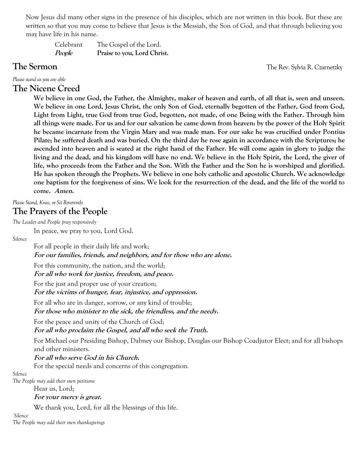Now Jesus did many other signs in the presence of his disciples, which are not written in this book. But these are written so that you may come to believe that Jesus is the Messiah, the Son of God, and that through believing you may have life in his name.

| Celebrant | The Gospel of the Lord.     |
|-----------|-----------------------------|
| People    | Praise to you, Lord Christ. |

**The Sermon** The Rev. Sylvia R. Czarnetzky

*Please stand as you are able*

## **The Nicene Creed**

**We believe in one God, the Father, the Almighty, maker of heaven and earth, of all that is, seen and unseen. We believe in one Lord, Jesus Christ, the only Son of God, eternally begotten of the Father, God from God, Light from Light, true God from true God, begotten, not made, of one Being with the Father. Through him all things were made. For us and for our salvation he came down from heaven: by the power of the Holy Spirit he became incarnate from the Virgin Mary and was made man. For our sake he was crucified under Pontius Pilate; he suffered death and was buried. On the third day he rose again in accordance with the Scriptures; he ascended into heaven and is seated at the right hand of the Father. He will come again in glory to judge the living and the dead, and his kingdom will have no end. We believe in the Holy Spirit, the Lord, the giver of life, who proceeds from the Father and the Son. With the Father and the Son he is worshiped and glorified. He has spoken through the Prophets. We believe in one holy catholic and apostolic Church. We acknowledge one baptism for the forgiveness of sins. We look for the resurrection of the dead, and the life of the world to come. Amen.**

*Please Stand, Knee,or Sit Reverently*

# **The Prayers of the People**

*The Leader and People pray responsively*

In peace, we pray to you, Lord God. *Silence*

> For all people in their daily life and work; **For our families, friends, and neighbors, and for those who are alone.**

For this community, the nation, and the world; **For all who work for justice, freedom, and peace.**

For the just and proper use of your creation;

**For the victims of hunger, fear, injustice, and oppression.**

For all who are in danger, sorrow, or any kind of trouble; **For those who minister to the sick, the friendless, and the needy.**

For the peace and unity of the Church of God;

**For all who proclaim the Gospel, and all who seek the Truth.**

For Michael our Presiding Bishop, Dabney our Bishop, Douglas our Bishop Coadjutor Elect; and for all bishops and other ministers.

### **For all who serve God in his Church.**

For the special needs and concerns of this congregation.

#### *Silence*

*The People may add their own petitions*

Hear us, Lord;

### **For your mercy is great.**

We thank you, Lord, for all the blessings of this life.

*Silence The People may add their own thanksgivings*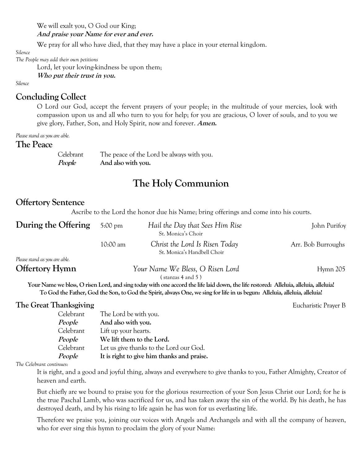We will exalt you, O God our King;

### **And praise your Name for ever and ever.**

We pray for all who have died, that they may have a place in your eternal kingdom.

*Silence*

#### *The People may add their own petitions*

Lord, let your loving-kindness be upon them;

**Who put their trust in you.**

*Silence*

# **Concluding Collect**

O Lord our God, accept the fervent prayers of your people; in the multitude of your mercies, look with compassion upon us and all who turn to you for help; for you are gracious, O lover of souls, and to you we give glory, Father, Son, and Holy Spirit, now and forever. **Amen.**

*Please stand as you are able.*

## **The Peace**

Celebrant The peace of the Lord be always with you. **People And also with you.**

# **The Holy Communion**

# **Offertory Sentence**

Ascribe to the Lord the honor due his Name; bring offerings and come into his courts.

| During the Offering                                    | $5:00 \text{ pm}$ | Hail the Day that Sees Him Rise<br>St. Monica's Choir                                                                                   | John Purifoy       |
|--------------------------------------------------------|-------------------|-----------------------------------------------------------------------------------------------------------------------------------------|--------------------|
|                                                        | 10:00 am          | Christ the Lord Is Risen Today<br>St. Monica's Handbell Choir                                                                           | Arr. Bob Burroughs |
| Please stand as you are able.<br><b>Offertory Hymn</b> |                   | Your Name We Bless, O Risen Lord<br>$\left($ at $\left($ $\ldots$ $\left($ $\ldots$ $\right)$ $\in$ $\left\langle \ldots \right\rangle$ | <b>Hymn 205</b>    |

( stanzas 4 and 5 )

**Your Name we bless, O risen Lord, and sing today with one accord the life laid down, the life restored: Alleluia, alleluia, alleluia! To God the Father, God the Son, to God the Spirit, always One, we sing for life in us begun: Alleluia, alleluia, alleluia!**

## **The Great Thanksgiving** Eucharistic Prayer B

| Celebrant | The Lord be with you.                      |
|-----------|--------------------------------------------|
| People    | And also with you.                         |
| Celebrant | Lift up your hearts.                       |
| People    | We lift them to the Lord.                  |
| Celebrant | Let us give thanks to the Lord our God.    |
| People    | It is right to give him thanks and praise. |

#### *The Celebrant continues*:

It is right, and a good and joyful thing, always and everywhere to give thanks to you, Father Almighty, Creator of heaven and earth.

But chiefly are we bound to praise you for the glorious resurrection of your Son Jesus Christ our Lord; for he is the true Paschal Lamb, who was sacrificed for us, and has taken away the sin of the world. By his death, he has destroyed death, and by his rising to life again he has won for us everlasting life.

Therefore we praise you, joining our voices with Angels and Archangels and with all the company of heaven, who for ever sing this hymn to proclaim the glory of your Name: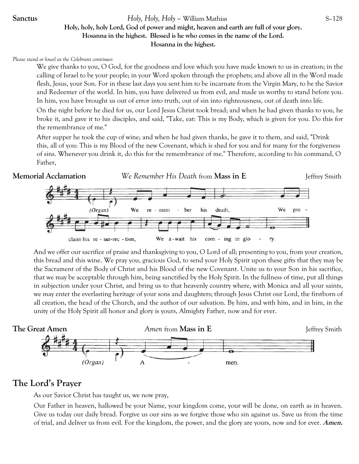**Sanctus** *Holy, Holy, Holy* – William Mathias S–128

# **Holy, holy, holy Lord, God of power and might, heaven and earth are full of your glory. Hosanna in the highest. Blessed is he who comes in the name of the Lord. Hosanna in the highest.**

## *Please stand or kneel as the Celebrant continues:*

We give thanks to you, O God, for the goodness and love which you have made known to us in creation; in the calling of Israel to be your people; in your Word spoken through the prophets; and above all in the Word made flesh, Jesus, your Son. For in these last days you sent him to be incarnate from the Virgin Mary, to be the Savior and Redeemer of the world. In him, you have delivered us from evil, and made us worthy to stand before you. In him, you have brought us out of error into truth, out of sin into righteousness, out of death into life.

On the night before he died for us, our Lord Jesus Christ took bread; and when he had given thanks to you, he broke it, and gave it to his disciples, and said, "Take, eat: This is my Body, which is given for you. Do this for the remembrance of me."

After supper he took the cup of wine; and when he had given thanks, he gave it to them, and said, "Drink this, all of you: This is my Blood of the new Covenant, which is shed for you and for many for the forgiveness of sins. Whenever you drink it, do this for the remembrance of me." Therefore, according to his command, O Father,



claim his re - sur-rec - tion, We a-wait his com - ing in glo ry.

And we offer our sacrifice of praise and thanksgiving to you, O Lord of all; presenting to you, from your creation, this bread and this wine. We pray you, gracious God, to send your Holy Spirit upon these gifts that they may be the Sacrament of the Body of Christ and his Blood of the new Covenant. Unite us to your Son in his sacrifice, that we may be acceptable through him, being sanctified by the Holy Spirit. In the fullness of time, put all things in subjection under your Christ, and bring us to that heavenly country where, with Monica and all your saints, we may enter the everlasting heritage of your sons and daughters; through Jesus Christ our Lord, the firstborn of all creation, the head of the Church, and the author of our salvation. By him, and with him, and in him, in the unity of the Holy Spirit all honor and glory is yours, Almighty Father, now and for ever.



# **The Lord's Prayer**

As our Savior Christ has taught us, we now pray,

Our Father in heaven, hallowed be your Name, your kingdom come, your will be done, on earth as in heaven. Give us today our daily bread. Forgive us our sins as we forgive those who sin against us. Save us from the time of trial, and deliver us from evil. For the kingdom, the power, and the glory are yours, now and for ever. **Amen.**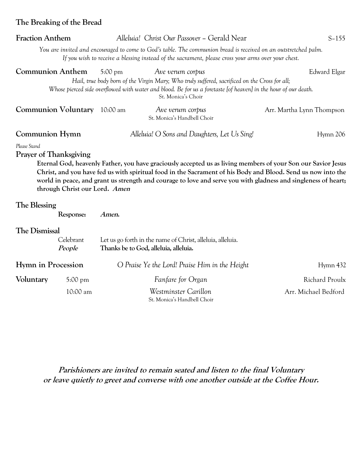# **The Breaking of the Bread**

| <b>Fraction Anthem</b>                        |                                            | Alleluia! Christ Our Passover - Gerald Near<br>$S-155$ |                                                                                                                                                                                                                                                                                                                                                |                           |  |
|-----------------------------------------------|--------------------------------------------|--------------------------------------------------------|------------------------------------------------------------------------------------------------------------------------------------------------------------------------------------------------------------------------------------------------------------------------------------------------------------------------------------------------|---------------------------|--|
|                                               |                                            |                                                        | You are invited and encouraged to come to God's table. The communion bread is received on an outstretched palm.<br>If you wish to receive a blessing instead of the sacrament, please cross your arms over your chest.                                                                                                                         |                           |  |
| <b>Communion Anthem</b>                       |                                            | 5:00 pm                                                | Ave verum corpus<br>Hail, true body born of the Virgin Mary; Who truly suffered, sacrificed on the Cross for all;<br>Whose pierced side overflowed with water and blood. Be for us a foretaste [of heaven] in the hour of our death.<br>St. Monica's Choir                                                                                     | Edward Elgar              |  |
|                                               | <b>Communion Voluntary</b> 10:00 am        |                                                        | Ave verum corpus<br>St. Monica's Handbell Choir                                                                                                                                                                                                                                                                                                | Arr. Martha Lynn Thompson |  |
| <b>Communion Hymn</b>                         |                                            |                                                        | Alleluia! O Sons and Daughters, Let Us Sing!                                                                                                                                                                                                                                                                                                   | Hymn 206                  |  |
| <b>Prayer of Thanksgiving</b><br>The Blessing | through Christ our Lord. Amen<br>Response: | Amen.                                                  | Eternal God, heavenly Father, you have graciously accepted us as living members of your Son our Savior Jesus<br>Christ, and you have fed us with spiritual food in the Sacrament of his Body and Blood. Send us now into the<br>world in peace, and grant us strength and courage to love and serve you with gladness and singleness of heart; |                           |  |
| The Dismissal                                 | Celebrant<br>People                        |                                                        | Let us go forth in the name of Christ, alleluia, alleluia.<br>Thanks be to God, alleluia, alleluia.                                                                                                                                                                                                                                            |                           |  |
| Hymn in Procession                            |                                            |                                                        | O Praise Ye the Lord! Praise Him in the Height                                                                                                                                                                                                                                                                                                 | Hymn 432                  |  |
| Voluntary                                     | $5:00 \text{ pm}$                          |                                                        | Fanfare for Organ                                                                                                                                                                                                                                                                                                                              | <b>Richard Proulx</b>     |  |
|                                               | 10:00 am                                   |                                                        | Westminster Carillon<br>St. Monica's Handbell Choir                                                                                                                                                                                                                                                                                            | Arr. Michael Bedford      |  |
|                                               |                                            |                                                        |                                                                                                                                                                                                                                                                                                                                                |                           |  |

**Parishioners are invited to remain seated and listen to the final Voluntary or leave quietly to greet and converse with one another outside at the Coffee Hour.**